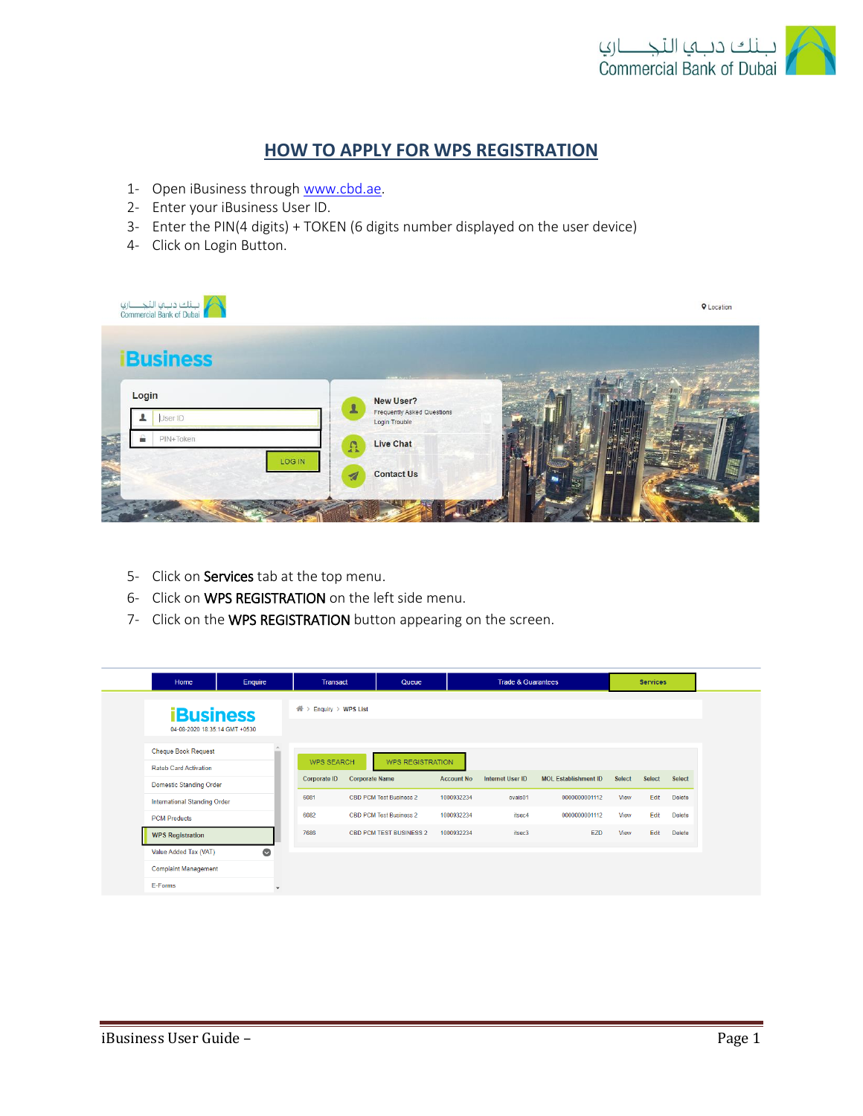

## **HOW TO APPLY FOR WPS REGISTRATION**

- 1- Open iBusiness through [www.cbd.ae.](http://www.cbd.ae/)
- 2- Enter your iBusiness User ID.
- 3- Enter the PIN(4 digits) + TOKEN (6 digits number displayed on the user device)
- 4- Click on Login Button.

| لبنك دبب النجــــاري<br>Commercial Bank of Dubai |                                                                                 | <b>Q</b> Location |
|--------------------------------------------------|---------------------------------------------------------------------------------|-------------------|
| <b>iBusiness</b>                                 | <b>COMMANDS</b>                                                                 |                   |
| Login<br>User ID                                 | New User?<br>$\mathbf{L}$<br><b>Frequently Asked Questions</b><br>Login Trouble |                   |
| PIN+Token<br>m.<br>LOG IN                        | Live Chat<br>$\Omega$                                                           |                   |
|                                                  | <b>Contact Us</b><br>$\overline{\mathcal{A}}$                                   |                   |
|                                                  |                                                                                 |                   |

- 5- Click on Services tab at the top menu.
- 6- Click on WPS REGISTRATION on the left side menu.
- 7- Click on the WPS REGISTRATION button appearing on the screen.

| Home                           | Enquire   | <b>Transact</b>            | Queue                          |                   | <b>Trade &amp; Guarantees</b> |                             |               | <b>Services</b> |               |
|--------------------------------|-----------|----------------------------|--------------------------------|-------------------|-------------------------------|-----------------------------|---------------|-----------------|---------------|
| <b>iBusiness</b>               |           | 备〉<br>Enquiry $>$ WPS List |                                |                   |                               |                             |               |                 |               |
| 04-08-2020 18:35:14 GMT +0530  |           |                            |                                |                   |                               |                             |               |                 |               |
| <b>Cheque Book Request</b>     |           | <b>WPS SEARCH</b>          | <b>WPS REGISTRATION</b>        |                   |                               |                             |               |                 |               |
| <b>Rateb Card Activation</b>   |           |                            |                                |                   |                               |                             |               |                 |               |
| <b>Domestic Standing Order</b> |           | Corporate ID               | <b>Corporate Name</b>          | <b>Account No</b> | <b>Internet User ID</b>       | <b>MOL Establishment ID</b> | <b>Select</b> | Select          | Select        |
| International Standing Order   |           | 6081                       | <b>CBD PCM Test Business 2</b> | 1000932234        | ovais01                       | 0000000001112               | View          | Edit            | <b>Delete</b> |
| <b>PCM Products</b>            |           | 6082                       | CBD PCM Test Business 2        | 1000932234        | itsec4                        | 0000000001112               | View          | Edit            | <b>Delete</b> |
| <b>WPS Registration</b>        |           | 7686                       | <b>CBD PCM TEST BUSINESS 2</b> | 1000932234        | itsec3                        | EZD                         | View          | Edit            | <b>Delete</b> |
| Value Added Tax (VAT)          | $\bullet$ |                            |                                |                   |                               |                             |               |                 |               |
| <b>Complaint Management</b>    |           |                            |                                |                   |                               |                             |               |                 |               |
| E-Forms                        | ÷         |                            |                                |                   |                               |                             |               |                 |               |